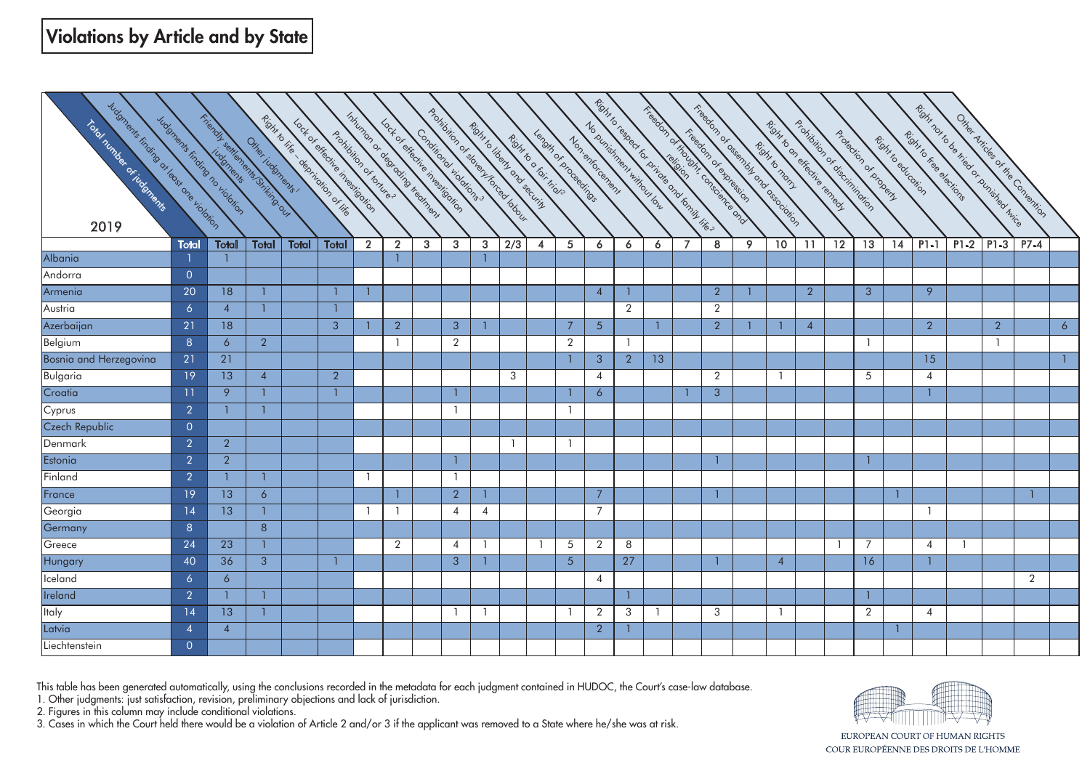| Iudonents finding of education<br>Total Tumble of Lindows<br>2019 |                | Tricindul series on the Suite of Department<br>Iudonents fisiking no violation | Other indonems ; |       | Richt to life departments of life<br>Lock of chication investigation<br>Apolibilition of tonules | Improper or desired in the mines in |                | Lock of checkie investigation<br>Conditional volutions |                | Prohibition of states forced to book. |                  | Richt to liberty ond security<br>Length of proceedings<br>Rohno o fair high |                 | Richt lo testage for principle ond formy life ?<br>No ourishneet without our<br>Non-enforcement |                |                |                | Treadon of the dirty cone and and | Freebook of offering the one of education |                 | Pontation of disemininging<br>Richt to on effective teneed. |                 | Protection of Droperty | Richi to edicotion | Right not to be tried or punished this te<br>Rohi to Free elections |                |                | Other Articles of the Contention |                 |
|-------------------------------------------------------------------|----------------|--------------------------------------------------------------------------------|------------------|-------|--------------------------------------------------------------------------------------------------|-------------------------------------|----------------|--------------------------------------------------------|----------------|---------------------------------------|------------------|-----------------------------------------------------------------------------|-----------------|-------------------------------------------------------------------------------------------------|----------------|----------------|----------------|-----------------------------------|-------------------------------------------|-----------------|-------------------------------------------------------------|-----------------|------------------------|--------------------|---------------------------------------------------------------------|----------------|----------------|----------------------------------|-----------------|
|                                                                   | <b>Total</b>   | Total                                                                          | <b>Total</b>     | Total | Total                                                                                            | $\overline{2}$                      | $\overline{2}$ | 3 <sup>1</sup>                                         | $\mathbf{3}$   | $\overline{3}$                        | $\overline{2/3}$ | $\overline{4}$                                                              | 5 <sup>5</sup>  | 6                                                                                               | 6              | 6              | $\overline{7}$ | 8                                 | 9                                         | 10 <sup>°</sup> | 11                                                          | $\overline{12}$ | $\overline{13}$        | 14                 | $PI-1$                                                              | $P1-2$         | $ P1-3 $       | $P7-4$                           |                 |
| Albania                                                           |                |                                                                                |                  |       |                                                                                                  |                                     |                |                                                        |                |                                       |                  |                                                                             |                 |                                                                                                 |                |                |                |                                   |                                           |                 |                                                             |                 |                        |                    |                                                                     |                |                |                                  |                 |
| Andorra                                                           | $\overline{0}$ |                                                                                |                  |       |                                                                                                  |                                     |                |                                                        |                |                                       |                  |                                                                             |                 |                                                                                                 |                |                |                |                                   |                                           |                 |                                                             |                 |                        |                    |                                                                     |                |                |                                  |                 |
| Armenia                                                           | 20             | 18                                                                             |                  |       | $\mathbf{1}$                                                                                     |                                     |                |                                                        |                |                                       |                  |                                                                             |                 | $\overline{4}$                                                                                  | -1             |                |                | $\overline{2}$                    |                                           |                 | $\overline{2}$                                              |                 | $\overline{3}$         |                    | 9                                                                   |                |                |                                  |                 |
| Austria                                                           | 6              | $\overline{4}$                                                                 |                  |       |                                                                                                  |                                     |                |                                                        |                |                                       |                  |                                                                             |                 |                                                                                                 | $\overline{2}$ |                |                | $\overline{2}$                    |                                           |                 |                                                             |                 |                        |                    |                                                                     |                |                |                                  |                 |
| Azerbaijan                                                        | 21             | 18                                                                             |                  |       | $\overline{3}$                                                                                   |                                     | $\overline{2}$ |                                                        | 3              | $\mathbf{1}$                          |                  |                                                                             | $7\overline{ }$ | 5 <sup>5</sup>                                                                                  |                | $\mathbf{1}$   |                | $\overline{2}$                    |                                           | $\overline{1}$  | $\overline{4}$                                              |                 |                        |                    | $\overline{2}$                                                      |                | $\overline{2}$ |                                  | $6\overline{6}$ |
| Belgium                                                           | 8              | 6                                                                              | $\overline{2}$   |       |                                                                                                  |                                     | $\overline{1}$ |                                                        | $\overline{2}$ |                                       |                  |                                                                             | $\overline{2}$  |                                                                                                 | $\mathbf{1}$   |                |                |                                   |                                           |                 |                                                             |                 | $\mathbf{1}$           |                    |                                                                     |                | -1             |                                  |                 |
| Bosnia and Herzegovina                                            | 21             | 21                                                                             |                  |       |                                                                                                  |                                     |                |                                                        |                |                                       |                  |                                                                             |                 | $\mathbf{3}$                                                                                    | $\overline{2}$ | 13             |                |                                   |                                           |                 |                                                             |                 |                        |                    | $\overline{15}$                                                     |                |                |                                  |                 |
| <b>Bulgaria</b>                                                   | 19             | 13                                                                             | $\overline{4}$   |       | $\overline{2}$                                                                                   |                                     |                |                                                        |                |                                       | 3                |                                                                             |                 | $\overline{4}$                                                                                  |                |                |                | $\overline{2}$                    |                                           | $\overline{1}$  |                                                             |                 | 5                      |                    | $\overline{4}$                                                      |                |                |                                  |                 |
| Croatia                                                           | 11             | 9                                                                              |                  |       | $\mathbf{1}$                                                                                     |                                     |                |                                                        |                |                                       |                  |                                                                             |                 | 6                                                                                               |                |                |                | $\mathbf{3}$                      |                                           |                 |                                                             |                 |                        |                    |                                                                     |                |                |                                  |                 |
| Cyprus                                                            | $\overline{2}$ |                                                                                |                  |       |                                                                                                  |                                     |                |                                                        |                |                                       |                  |                                                                             |                 |                                                                                                 |                |                |                |                                   |                                           |                 |                                                             |                 |                        |                    |                                                                     |                |                |                                  |                 |
| Czech Republic                                                    | $\overline{0}$ |                                                                                |                  |       |                                                                                                  |                                     |                |                                                        |                |                                       |                  |                                                                             |                 |                                                                                                 |                |                |                |                                   |                                           |                 |                                                             |                 |                        |                    |                                                                     |                |                |                                  |                 |
| Denmark                                                           | $\overline{2}$ | $\overline{2}$                                                                 |                  |       |                                                                                                  |                                     |                |                                                        |                |                                       |                  |                                                                             |                 |                                                                                                 |                |                |                |                                   |                                           |                 |                                                             |                 |                        |                    |                                                                     |                |                |                                  |                 |
| Estonia                                                           | $\overline{2}$ | $\overline{2}$                                                                 |                  |       |                                                                                                  |                                     |                |                                                        |                |                                       |                  |                                                                             |                 |                                                                                                 |                |                |                |                                   |                                           |                 |                                                             |                 |                        |                    |                                                                     |                |                |                                  |                 |
| Finland                                                           | $\overline{2}$ |                                                                                |                  |       |                                                                                                  |                                     |                |                                                        | $\overline{1}$ |                                       |                  |                                                                             |                 |                                                                                                 |                |                |                |                                   |                                           |                 |                                                             |                 |                        |                    |                                                                     |                |                |                                  |                 |
| France                                                            | 19             | 13                                                                             | 6                |       |                                                                                                  |                                     |                |                                                        | $\overline{2}$ |                                       |                  |                                                                             |                 | $\overline{7}$                                                                                  |                |                |                |                                   |                                           |                 |                                                             |                 |                        |                    |                                                                     |                |                |                                  |                 |
| Georgia                                                           | 14             | 13                                                                             |                  |       |                                                                                                  |                                     | ำ              |                                                        | $\overline{4}$ | 4                                     |                  |                                                                             |                 | $\overline{7}$                                                                                  |                |                |                |                                   |                                           |                 |                                                             |                 |                        |                    | - 1                                                                 |                |                |                                  |                 |
| Germany                                                           | 8 <sup>°</sup> |                                                                                | 8                |       |                                                                                                  |                                     |                |                                                        |                |                                       |                  |                                                                             |                 |                                                                                                 |                |                |                |                                   |                                           |                 |                                                             |                 |                        |                    |                                                                     |                |                |                                  |                 |
| Greece                                                            | 24             | 23                                                                             |                  |       |                                                                                                  |                                     | $\overline{2}$ |                                                        | $\overline{4}$ | -1                                    |                  |                                                                             | 5               | $\overline{2}$                                                                                  | 8              |                |                |                                   |                                           |                 |                                                             |                 | 7                      |                    | $\overline{4}$                                                      | $\overline{1}$ |                |                                  |                 |
| Hungary                                                           | 40             | 36                                                                             | 3                |       |                                                                                                  |                                     |                |                                                        | 3 <sup>2</sup> |                                       |                  |                                                                             | 5 <sup>5</sup>  |                                                                                                 | 27             |                |                |                                   |                                           | $\overline{4}$  |                                                             |                 | 16                     |                    |                                                                     |                |                |                                  |                 |
| Iceland                                                           | 6              | 6                                                                              |                  |       |                                                                                                  |                                     |                |                                                        |                |                                       |                  |                                                                             |                 | $\overline{4}$                                                                                  |                |                |                |                                   |                                           |                 |                                                             |                 |                        |                    |                                                                     |                |                | 2                                |                 |
| Ireland                                                           | $\overline{2}$ |                                                                                |                  |       |                                                                                                  |                                     |                |                                                        |                |                                       |                  |                                                                             |                 |                                                                                                 | $\mathbf{1}$   |                |                |                                   |                                           |                 |                                                             |                 |                        |                    |                                                                     |                |                |                                  |                 |
| Italy                                                             | 14             | 13                                                                             |                  |       |                                                                                                  |                                     |                |                                                        | - 1            | -1                                    |                  |                                                                             |                 | $\overline{2}$                                                                                  | 3              | $\overline{1}$ |                | 3                                 |                                           | $\overline{1}$  |                                                             |                 | $\overline{2}$         |                    | $\overline{4}$                                                      |                |                |                                  |                 |
| Latvia                                                            | $\overline{A}$ | $\boldsymbol{\Lambda}$                                                         |                  |       |                                                                                                  |                                     |                |                                                        |                |                                       |                  |                                                                             |                 | 2                                                                                               |                |                |                |                                   |                                           |                 |                                                             |                 |                        |                    |                                                                     |                |                |                                  |                 |
| Liechtenstein                                                     | $\overline{0}$ |                                                                                |                  |       |                                                                                                  |                                     |                |                                                        |                |                                       |                  |                                                                             |                 |                                                                                                 |                |                |                |                                   |                                           |                 |                                                             |                 |                        |                    |                                                                     |                |                |                                  |                 |

This table has been generated automatically, using the conclusions recorded in the metadata for each judgment contained in HUDOC, the Court's case-law database.

1. Other judgments: just satisfaction, revision, preliminary objections and lack of jurisdiction.

2. Figures in this column may include conditional violations.

3. Cases in which the Court held there would be a violation of Article 2 and/or 3 if the applicant was removed to a State where he/she was at risk.



EUROPEAN COURT OF HUMAN RIGHTS COUR EUROPÉENNE DES DROITS DE L'HOMME